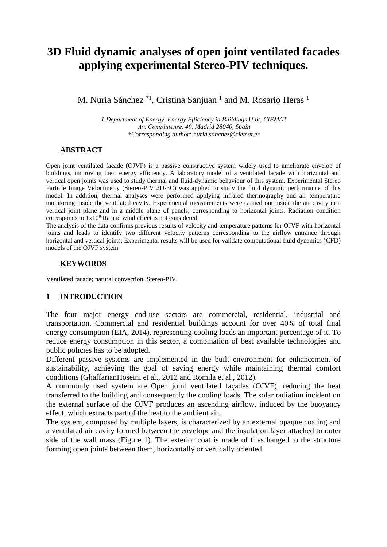# **3D Fluid dynamic analyses of open joint ventilated facades applying experimental Stereo-PIV techniques.**

M. Nuria Sánchez<sup>\*1</sup>, Cristina Sanjuan<sup>1</sup> and M. Rosario Heras<sup>1</sup>

*1 Department of Energy, Energy Efficiency in Buildings Unit, CIEMAT Av. Complutense, 40. Madrid 28040, Spain \*Corresponding author: nuria.sanchez@ciemat.es*

#### **ABSTRACT**

Open joint ventilated façade (OJVF) is a passive constructive system widely used to ameliorate envelop of buildings, improving their energy efficiency. A laboratory model of a ventilated façade with horizontal and vertical open joints was used to study thermal and fluid-dynamic behaviour of this system. Experimental Stereo Particle Image Velocimetry (Stereo-PIV 2D-3C) was applied to study the fluid dynamic performance of this model. In addition, thermal analyses were performed applying infrared thermography and air temperature monitoring inside the ventilated cavity. Experimental measurements were carried out inside the air cavity in a vertical joint plane and in a middle plane of panels, corresponding to horizontal joints. Radiation condition corresponds to  $1x10^9$  Ra and wind effect is not considered.

The analysis of the data confirms previous results of velocity and temperature patterns for OJVF with horizontal joints and leads to identify two different velocity patterns corresponding to the airflow entrance through horizontal and vertical joints. Experimental results will be used for validate computational fluid dynamics (CFD) models of the OJVF system.

#### **KEYWORDS**

Ventilated facade; natural convection; Stereo-PIV.

#### **1 INTRODUCTION**

The four major energy end-use sectors are commercial, residential, industrial and transportation. Commercial and residential buildings account for over 40% of total final energy consumption (EIA, 2014), representing cooling loads an important percentage of it. To reduce energy consumption in this sector, a combination of best available technologies and public policies has to be adopted.

Different passive systems are implemented in the built environment for enhancement of sustainability, achieving the goal of saving energy while maintaining thermal comfort conditions (GhaffarianHoseini et al., 2012 and Romila et al., 2012).

A commonly used system are Open joint ventilated façades (OJVF), reducing the heat transferred to the building and consequently the cooling loads. The solar radiation incident on the external surface of the OJVF produces an ascending airflow, induced by the buoyancy effect, which extracts part of the heat to the ambient air.

The system, composed by multiple layers, is characterized by an external opaque coating and a ventilated air cavity formed between the envelope and the insulation layer attached to outer side of the wall mass (Figure 1). The exterior coat is made of tiles hanged to the structure forming open joints between them, horizontally or vertically oriented.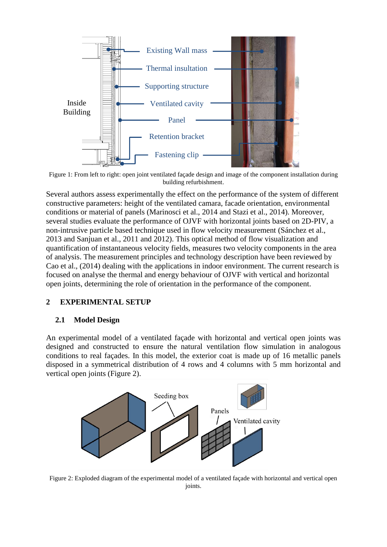

Figure 1: From left to right: open joint ventilated façade design and image of the component installation during building refurbishment.

Several authors assess experimentally the effect on the performance of the system of different constructive parameters: height of the ventilated camara, facade orientation, environmental conditions or material of panels (Marinosci et al., 2014 and Stazi et al., 2014). Moreover, several studies evaluate the performance of OJVF with horizontal joints based on 2D-PIV, a non-intrusive particle based technique used in flow velocity measurement (Sánchez et al., 2013 and Sanjuan et al., 2011 and 2012). This optical method of flow visualization and quantification of instantaneous velocity fields, measures two velocity components in the area of analysis. The measurement principles and technology description have been reviewed by Cao et al., (2014) dealing with the applications in indoor environment. The current research is focused on analyse the thermal and energy behaviour of OJVF with vertical and horizontal open joints, determining the role of orientation in the performance of the component.

#### **2 EXPERIMENTAL SETUP**

#### **2.1 Model Design**

An experimental model of a ventilated façade with horizontal and vertical open joints was designed and constructed to ensure the natural ventilation flow simulation in analogous conditions to real façades. In this model, the exterior coat is made up of 16 metallic panels disposed in a symmetrical distribution of 4 rows and 4 columns with 5 mm horizontal and vertical open joints (Figure 2).



Figure 2: Exploded diagram of the experimental model of a ventilated façade with horizontal and vertical open joints.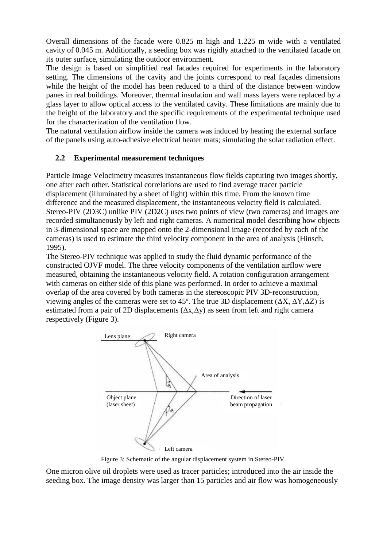Overall dimensions of the facade were 0.825 m high and 1.225 m wide with a ventilated cavity of 0.045 m. Additionally, a seeding box was rigidly attached to the ventilated facade on its outer surface, simulating the outdoor environment.

The design is based on simplified real facades required for experiments in the laboratory setting. The dimensions of the cavity and the joints correspond to real façades dimensions while the height of the model has been reduced to a third of the distance between window panes in real buildings. Moreover, thermal insulation and wall mass layers were replaced by a glass layer to allow optical access to the ventilated cavity. These limitations are mainly due to the height of the laboratory and the specific requirements of the experimental technique used for the characterization of the ventilation flow.

The natural ventilation airflow inside the camera was induced by heating the external surface of the panels using auto-adhesive electrical heater mats; simulating the solar radiation effect.

## **2.2 Experimental measurement techniques**

Particle Image Velocimetry measures instantaneous flow fields capturing two images shortly, one after each other. Statistical correlations are used to find average tracer particle displacement (illuminated by a sheet of light) within this time. From the known time difference and the measured displacement, the instantaneous velocity field is calculated. Stereo-PIV (2D3C) unlike PIV (2D2C) uses two points of view (two cameras) and images are recorded simultaneously by left and right cameras. A numerical model describing how objects in 3-dimensional space are mapped onto the 2-dimensional image (recorded by each of the cameras) is used to estimate the third velocity component in the area of analysis (Hinsch, 1995).

The Stereo-PIV technique was applied to study the fluid dynamic performance of the constructed OJVF model. The three velocity components of the ventilation airflow were measured, obtaining the instantaneous velocity field. A rotation configuration arrangement with cameras on either side of this plane was performed. In order to achieve a maximal overlap of the area covered by both cameras in the stereoscopic PIV 3D-reconstruction, viewing angles of the cameras were set to 45°. The true 3D displacement ( $ΔX$ ,  $ΔY$ , $ΔZ$ ) is estimated from a pair of 2D displacements  $(\Delta x, \Delta y)$  as seen from left and right camera respectively (Figure 3).



Figure 3: Schematic of the angular displacement system in Stereo-PIV.

One micron olive oil droplets were used as tracer particles; introduced into the air inside the seeding box. The image density was larger than 15 particles and air flow was homogeneously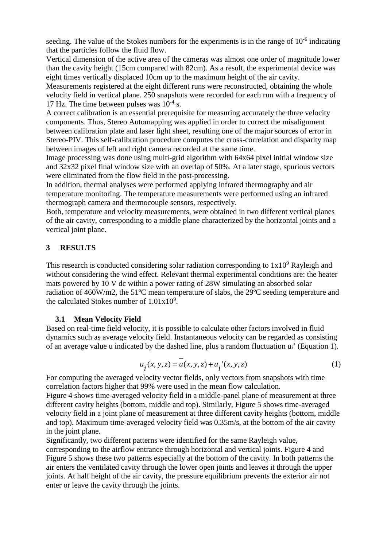seeding. The value of the Stokes numbers for the experiments is in the range of  $10^{-6}$  indicating that the particles follow the fluid flow.

Vertical dimension of the active area of the cameras was almost one order of magnitude lower than the cavity height (15cm compared with 82cm). As a result, the experimental device was eight times vertically displaced 10cm up to the maximum height of the air cavity.

Measurements registered at the eight different runs were reconstructed, obtaining the whole velocity field in vertical plane. 250 snapshots were recorded for each run with a frequency of 17 Hz. The time between pulses was  $10^{-4}$  s.

A correct calibration is an essential prerequisite for measuring accurately the three velocity components. Thus, Stereo Automapping was applied in order to correct the misalignment between calibration plate and laser light sheet, resulting one of the major sources of error in Stereo-PIV. This self-calibration procedure computes the cross-correlation and disparity map between images of left and right camera recorded at the same time.

Image processing was done using multi-grid algorithm with 64x64 pixel initial window size and 32x32 pixel final window size with an overlap of 50%. At a later stage, spurious vectors were eliminated from the flow field in the post-processing.

In addition, thermal analyses were performed applying infrared thermography and air temperature monitoring. The temperature measurements were performed using an infrared thermograph camera and thermocouple sensors, respectively.

Both, temperature and velocity measurements, were obtained in two different vertical planes of the air cavity, corresponding to a middle plane characterized by the horizontal joints and a vertical joint plane.

## **3 RESULTS**

This research is conducted considering solar radiation corresponding to  $1x10<sup>9</sup>$  Rayleigh and without considering the wind effect. Relevant thermal experimental conditions are: the heater mats powered by 10 V dc within a power rating of 28W simulating an absorbed solar radiation of 460W/m2, the 51ºC mean temperature of slabs, the 29ºC seeding temperature and the calculated Stokes number of  $1.01x10^9$ .

## **3.1 Mean Velocity Field**

Based on real-time field velocity, it is possible to calculate other factors involved in fluid dynamics such as average velocity field. Instantaneous velocity can be regarded as consisting of an average value u indicated by the dashed line, plus a random fluctuation ui' (Equation 1).

$$
u_{i}(x, y, z) = u(x, y, z) + u_{i}(x, y, z)
$$
 (1)

For computing the averaged velocity vector fields, only vectors from snapshots with time correlation factors higher that 99% were used in the mean flow calculation.

Figure 4 shows time-averaged velocity field in a middle-panel plane of measurement at three different cavity heights (bottom, middle and top). Similarly, Figure 5 shows time-averaged velocity field in a joint plane of measurement at three different cavity heights (bottom, middle and top). Maximum time-averaged velocity field was 0.35m/s, at the bottom of the air cavity in the joint plane.

Significantly, two different patterns were identified for the same Rayleigh value, corresponding to the airflow entrance through horizontal and vertical joints. Figure 4 and Figure 5 shows these two patterns especially at the bottom of the cavity. In both patterns the air enters the ventilated cavity through the lower open joints and leaves it through the upper joints. At half height of the air cavity, the pressure equilibrium prevents the exterior air not enter or leave the cavity through the joints.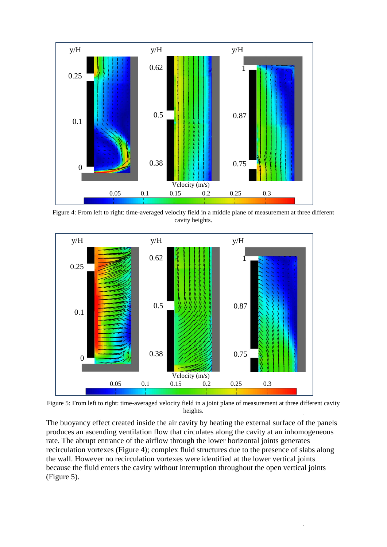

Figure 4: From left to right: time-averaged velocity field in a middle plane of measurement at three different cavity heights.



Figure 5: From left to right: time-averaged velocity field in a joint plane of measurement at three different cavity heights.

The buoyancy effect created inside the air cavity by heating the external surface of the panels produces an ascending ventilation flow that circulates along the cavity at an inhomogeneous rate. The abrupt entrance of the airflow through the lower horizontal joints generates recirculation vortexes (Figure 4); complex fluid structures due to the presence of slabs along the wall. However no recirculation vortexes were identified at the lower vertical joints because the fluid enters the cavity without interruption throughout the open vertical joints (Figure 5).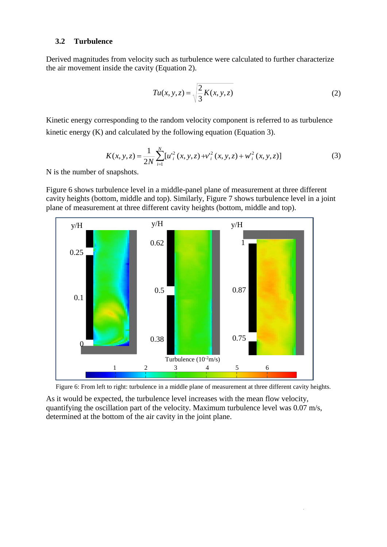#### **3.2 Turbulence**

Derived magnitudes from velocity such as turbulence were calculated to further characterize the air movement inside the cavity (Equation 2).

$$
Tu(x, y, z) = \sqrt{\frac{2}{3}K(x, y, z)}
$$
\n<sup>(2)</sup>

Kinetic energy corresponding to the random velocity component is referred to as turbulence kinetic energy (K) and calculated by the following equation (Equation 3).

$$
K(x, y, z) = \frac{1}{2N} \sum_{i=1}^{N} [u_i^{2}(x, y, z) + v_i^{2}(x, y, z) + w_i^{2}(x, y, z)]
$$
 (3)

N is the number of snapshots.

Figure 6 shows turbulence level in a middle-panel plane of measurement at three different cavity heights (bottom, middle and top). Similarly, Figure 7 shows turbulence level in a joint plane of measurement at three different cavity heights (bottom, middle and top).





As it would be expected, the turbulence level increases with the mean flow velocity, quantifying the oscillation part of the velocity. Maximum turbulence level was 0.07 m/s, determined at the bottom of the air cavity in the joint plane.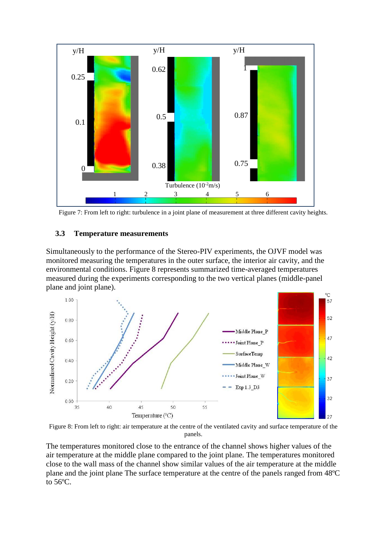

Figure 7: From left to right: turbulence in a joint plane of measurement at three different cavity heights.

## **3.3 Temperature measurements**

Simultaneously to the performance of the Stereo-PIV experiments, the OJVF model was monitored measuring the temperatures in the outer surface, the interior air cavity, and the environmental conditions. Figure 8 represents summarized time-averaged temperatures measured during the experiments corresponding to the two vertical planes (middle-panel plane and joint plane).



Figure 8: From left to right: air temperature at the centre of the ventilated cavity and surface temperature of the panels.

The temperatures monitored close to the entrance of the channel shows higher values of the air temperature at the middle plane compared to the joint plane. The temperatures monitored close to the wall mass of the channel show similar values of the air temperature at the middle plane and the joint plane The surface temperature at the centre of the panels ranged from 48ºC to 56ºC.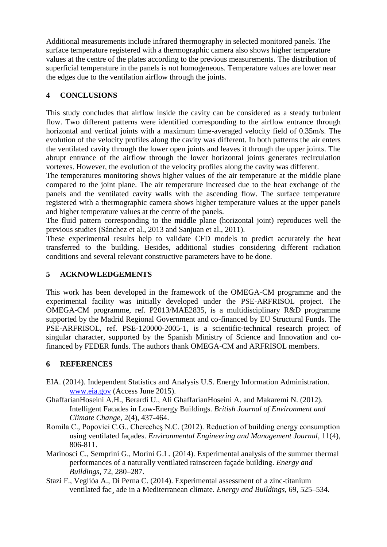Additional measurements include infrared thermography in selected monitored panels. The surface temperature registered with a thermographic camera also shows higher temperature values at the centre of the plates according to the previous measurements. The distribution of superficial temperature in the panels is not homogeneous. Temperature values are lower near the edges due to the ventilation airflow through the joints.

# **4 CONCLUSIONS**

This study concludes that airflow inside the cavity can be considered as a steady turbulent flow. Two different patterns were identified corresponding to the airflow entrance through horizontal and vertical joints with a maximum time-averaged velocity field of 0.35m/s. The evolution of the velocity profiles along the cavity was different. In both patterns the air enters the ventilated cavity through the lower open joints and leaves it through the upper joints. The abrupt entrance of the airflow through the lower horizontal joints generates recirculation vortexes. However, the evolution of the velocity profiles along the cavity was different.

The temperatures monitoring shows higher values of the air temperature at the middle plane compared to the joint plane. The air temperature increased due to the heat exchange of the panels and the ventilated cavity walls with the ascending flow. The surface temperature registered with a thermographic camera shows higher temperature values at the upper panels and higher temperature values at the centre of the panels.

The fluid pattern corresponding to the middle plane (horizontal joint) reproduces well the previous studies (Sánchez et al., 2013 and Sanjuan et al., 2011).

These experimental results help to validate CFD models to predict accurately the heat transferred to the building. Besides, additional studies considering different radiation conditions and several relevant constructive parameters have to be done.

# **5 ACKNOWLEDGEMENTS**

This work has been developed in the framework of the OMEGA-CM programme and the experimental facility was initially developed under the PSE-ARFRISOL project. The OMEGA-CM programme, ref. P2013/MAE2835, is a multidisciplinary R&D programme supported by the Madrid Regional Government and co-financed by EU Structural Funds. The PSE-ARFRISOL, ref. PSE-120000-2005-1, is a scientific-technical research project of singular character, supported by the Spanish Ministry of Science and Innovation and cofinanced by FEDER funds. The authors thank OMEGA-CM and ARFRISOL members.

# **6 REFERENCES**

- EIA. (2014). Independent Statistics and Analysis U.S. Energy Information Administration. www.eia.gov (Access June 2015).
- GhaffarianHoseini A.H., Berardi U., Ali GhaffarianHoseini A. and Makaremi N. (2012). Intelligent Facades in Low-Energy Buildings. *British Journal of Environment and Climate Change*, 2(4), 437-464.
- Romila C., Popovici C.G., Cherecheş N.C. (2012). Reduction of building energy consumption using ventilated façades. *Environmental Engineering and Management Journal*, 11(4), 806-811.
- Marinosci C., Semprini G., Morini G.L. (2014). Experimental analysis of the summer thermal performances of a naturally ventilated rainscreen façade building. *Energy and Buildings*, 72, 280–287.
- Stazi F., Vegliòa A., Di Perna C. (2014). Experimental assessment of a zinc-titanium ventilated fac¸ ade in a Mediterranean climate. *Energy and Buildings*, 69, 525–534.